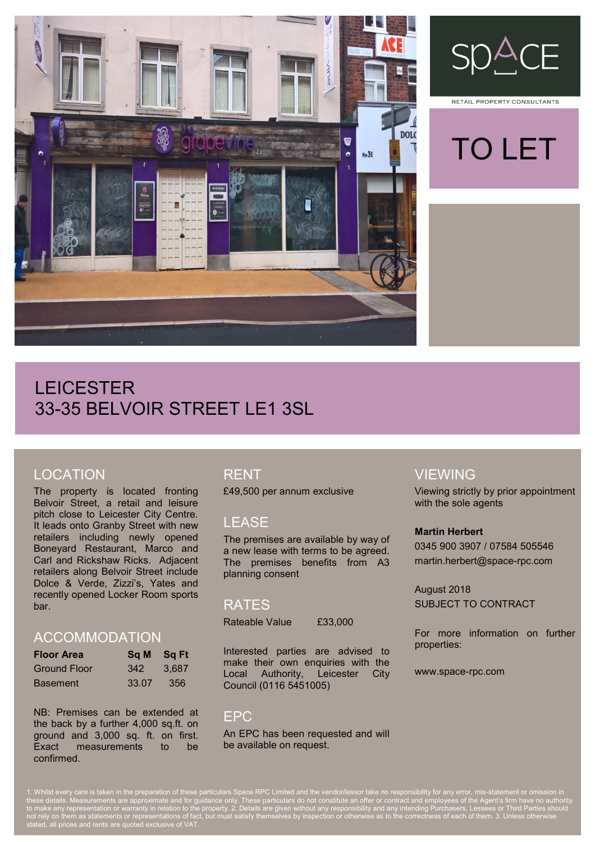



RETAIL PROPERTY CONSULTANTS



# LEICESTER 33-35 BELVOIR STREET LE1 3SL

## LOCATION

The property is located fronting Belvoir Street, a retail and leisure pitch close to Leicester City Centre. It leads onto Granby Street with new retailers including newly opened Boneyard Restaurant, Marco and Carl and Rickshaw Ricks. Adjacent retailers along Belvoir Street include Dolce & Verde, Zizzi's, Yates and recently opened Locker Room sports bar.

#### ACCOMMODATION

| <b>Floor Area</b>   | Sq M Sq Ft |       |
|---------------------|------------|-------|
| <b>Ground Floor</b> | 342        | 3.687 |
| <b>Basement</b>     | 33.07      | 356   |

NB: Premises can be extended at the back by a further 4,000 sq.ft. on ground and 3,000 sq. ft. on first. Exact measurements to be confirmed.

## RENT

£49,500 per annum exclusive

### LEASE

The premises are available by way of a new lease with terms to be agreed. The premises benefits from A3 planning consent

#### RATES

Rateable Value £33,000

Interested parties are advised to make their own enquiries with the Local Authority, Leicester City Council (0116 5451005)

### EPC

An EPC has been requested and will be available on request.

## VIEWING

Viewing strictly by prior appointment with the sole agents

#### **Martin Herbert**

0345 900 3907 / 07584 505546 martin.herbert@space-rpc.com

August 2018 SUBJECT TO CONTRACT

For more information on further properties:

www.space-rpc.com

1. Whilst every care is taken in the preparation of these particulars Space RPC Limited and the vendor/lessor take no responsibility for any error, mis-statement or omission in these details. Measurements are approximate and for guidance only. These particulars do not constitute an offer or contract and employees of the Agent's firm have no authority to make any representation or warranty in relation to the property. 2. Details are given without any responsibility and any intending Purchasers, Lessees or Third Parties should not rely on them as statements or representations of fact, but must satisfy themselves by inspection or otherwise as to the correctness of each of them. 3. Unless otherwise